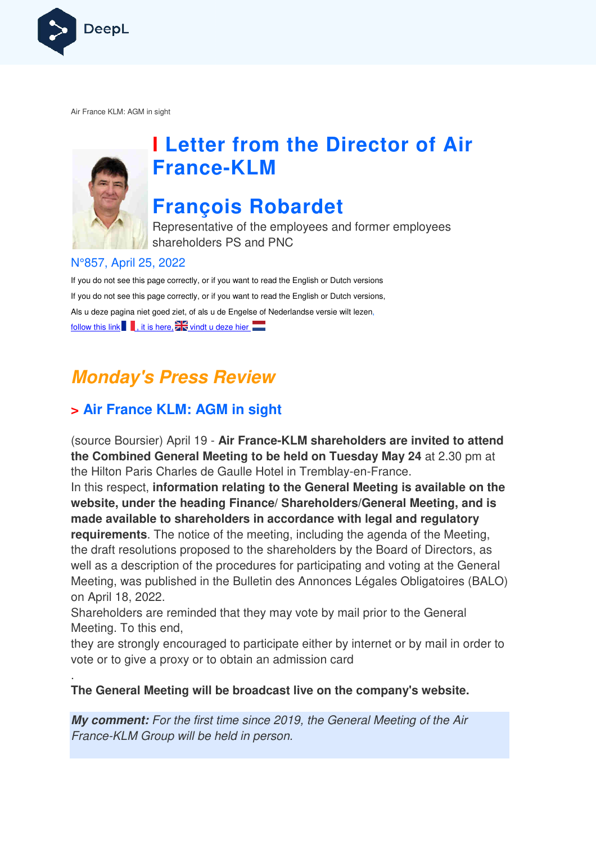

Air France KLM: AGM in sight



.

# **I Letter from the Director of Air France France-KLM**

## **François Robardet**

Representative of the employees and former employees shareholders PS and PNC

#### N°857, April 25, 2022

If you do not see this page correctly, or if you want to read the English or Dutch versions If you do not see this page correctly, or if you want to read the English or Dutch versions, Als u deze pagina niet goed ziet, of als u de Engelse of Nederlandse versie wilt lezen, follow this link  $\blacksquare$ , it is here,  $\blacksquare$  vindt u deze hier

## **Monday's Press Review**

## **> Air France KLM: AGM in sight**

(source Boursier) April 19 - **Air France-KLM shareholders are invited to attend the Combined General Meeting to be held on Tuesday May 24**  at 2.30 pm at the Hilton Paris Charles de Gaulle Hotel in Tremblay-en-France. In this respect, **information relating to the General Meeting is available on the website, under the heading Finance/ Shareholders/General Meeting, and is made available to shareholders in accordance with legal and regulatory holders requirements**. The notice of the meeting, including the agenda of the Meeting, the draft resolutions proposed to the shareholders by the Board of Directors, as well as a description of the procedures for participating and voting at the General Meeting, was published in the Bulletin des Annonces Légales Obligatoires (BALO) on April 18, 2022. Boursier) April 19 - **Air France-KLM shareholders are invited to a**<br>mbined General Meeting to be held on Tuesday May 24 at 2.30 p<br>m Paris Charles de Gaulle Hotel in Tremblay-en-France.<br>espect, information relating to the G

Shareholders are reminded that they may vote by mail prior to the General Meeting. To this end,

they are strongly encouraged to participate either by internet or by mail in order to vote or to give a proxy or to obtain an admission card

#### **The General Meeting will be broadcast live on the company's website.**

**My comment:** For the first time since 2019, the General Meeting of the Air France-KLM Group will be held in person.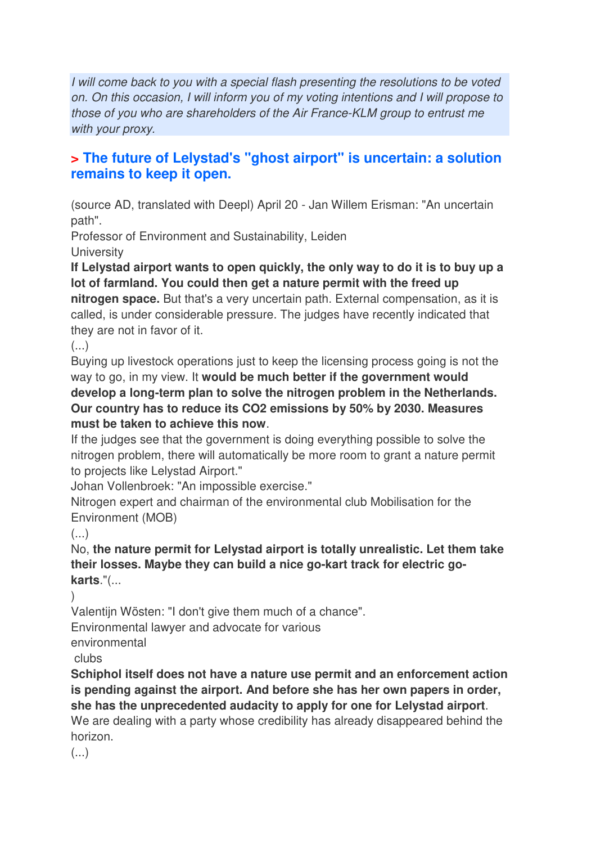I will come back to you with a special flash presenting the resolutions to be voted on. On this occasion, I will inform you of my voting intentions and I will propose to those of you who are shareholders of the Air France-KLM group to entrust me with your proxy.

## **> The future of Lelystad's "ghost airport" is uncertain: a solution remains to keep it open.**

(source AD, translated with Deepl) April 20 - Jan Willem Erisman: "An uncertain path".

Professor of Environment and Sustainability, Leiden **University** 

**If Lelystad airport wants to open quickly, the only way to do it is to buy up a lot of farmland. You could then get a nature permit with the freed up nitrogen space.** But that's a very uncertain path. External compensation, as it is called, is under considerable pressure. The judges have recently indicated that they are not in favor of it.

(...)

Buying up livestock operations just to keep the licensing process going is not the way to go, in my view. It **would be much better if the government would develop a long-term plan to solve the nitrogen problem in the Netherlands. Our country has to reduce its CO2 emissions by 50% by 2030. Measures must be taken to achieve this now**.

If the judges see that the government is doing everything possible to solve the nitrogen problem, there will automatically be more room to grant a nature permit to projects like Lelystad Airport."

Johan Vollenbroek: "An impossible exercise."

Nitrogen expert and chairman of the environmental club Mobilisation for the Environment (MOB)

 $\left( \ldots \right)$ 

No, **the nature permit for Lelystad airport is totally unrealistic. Let them take their losses. Maybe they can build a nice go-kart track for electric gokarts**."(...

)

Valentijn Wösten: "I don't give them much of a chance".

Environmental lawyer and advocate for various

environmental

clubs

**Schiphol itself does not have a nature use permit and an enforcement action is pending against the airport. And before she has her own papers in order, she has the unprecedented audacity to apply for one for Lelystad airport**. We are dealing with a party whose credibility has already disappeared behind the horizon.

 $\left( \ldots \right)$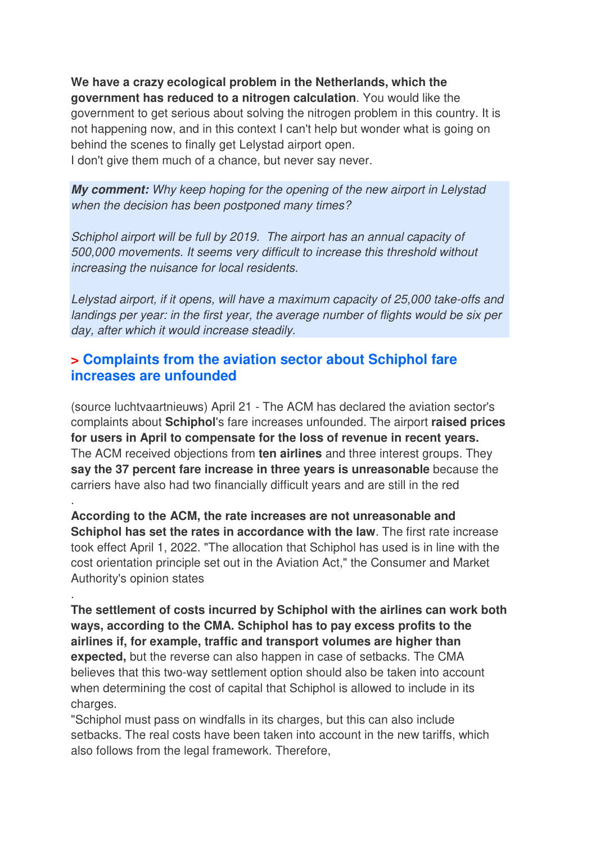**We have a crazy ecological problem in the Netherlands, which the government has reduced to a nitrogen calculation**. You would like the government to get serious about solving the nitrogen problem in this country. It is not happening now, and in this context I can't help but wonder what is going on behind the scenes to finally get Lelystad airport open. I don't give them much of a chance, but never say never.

**My comment:** Why keep hoping for the opening of the new airport in Lelystad when the decision has been postponed many times?

Schiphol airport will be full by 2019. The airport has an annual capacity of 500,000 movements. It seems very difficult to increase this threshold without increasing the nuisance for local residents.

Lelystad airport, if it opens, will have a maximum capacity of 25,000 take-offs and landings per year: in the first year, the average number of flights would be six per day, after which it would increase steadily.

### **> Complaints from the aviation sector about Schiphol fare increases are unfounded**

.

.

(source luchtvaartnieuws) April 21 - The ACM has declared the aviation sector's complaints about **Schiphol**'s fare increases unfounded. The airport **raised prices for users in April to compensate for the loss of revenue in recent years.**  The ACM received objections from **ten airlines** and three interest groups. They **say the 37 percent fare increase in three years is unreasonable** because the carriers have also had two financially difficult years and are still in the red

**According to the ACM, the rate increases are not unreasonable and Schiphol has set the rates in accordance with the law**. The first rate increase took effect April 1, 2022. "The allocation that Schiphol has used is in line with the cost orientation principle set out in the Aviation Act," the Consumer and Market Authority's opinion states

**The settlement of costs incurred by Schiphol with the airlines can work both ways, according to the CMA. Schiphol has to pay excess profits to the airlines if, for example, traffic and transport volumes are higher than expected,** but the reverse can also happen in case of setbacks. The CMA believes that this two-way settlement option should also be taken into account when determining the cost of capital that Schiphol is allowed to include in its charges.

"Schiphol must pass on windfalls in its charges, but this can also include setbacks. The real costs have been taken into account in the new tariffs, which also follows from the legal framework. Therefore,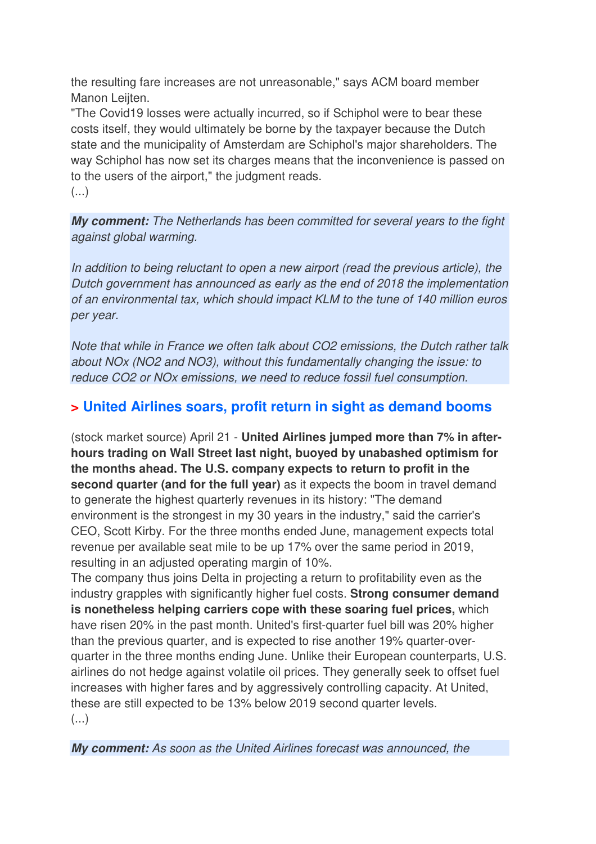the resulting fare increases are not unreasonable," says ACM board member Manon Leijten.

"The Covid19 losses were actually incurred, so if Schiphol were to bear these costs itself, they would ultimately be borne by the taxpayer because the Dutch state and the municipality of Amsterdam are Schiphol's major shareholders. The way Schiphol has now set its charges means that the inconvenience is passed on to the users of the airport," the judgment reads. (...)

**My comment:** The Netherlands has been committed for several years to the fight against global warming.

In addition to being reluctant to open a new airport (read the previous article), the Dutch government has announced as early as the end of 2018 the implementation of an environmental tax, which should impact KLM to the tune of 140 million euros per year.

Note that while in France we often talk about CO2 emissions, the Dutch rather talk about NOx (NO2 and NO3), without this fundamentally changing the issue: to reduce CO2 or NOx emissions, we need to reduce fossil fuel consumption.

## **> United Airlines soars, profit return in sight as demand booms**

(stock market source) April 21 - **United Airlines jumped more than 7% in afterhours trading on Wall Street last night, buoyed by unabashed optimism for the months ahead. The U.S. company expects to return to profit in the second quarter (and for the full year)** as it expects the boom in travel demand to generate the highest quarterly revenues in its history: "The demand environment is the strongest in my 30 years in the industry," said the carrier's CEO, Scott Kirby. For the three months ended June, management expects total revenue per available seat mile to be up 17% over the same period in 2019, resulting in an adjusted operating margin of 10%.

The company thus joins Delta in projecting a return to profitability even as the industry grapples with significantly higher fuel costs. **Strong consumer demand is nonetheless helping carriers cope with these soaring fuel prices,** which have risen 20% in the past month. United's first-quarter fuel bill was 20% higher than the previous quarter, and is expected to rise another 19% quarter-overquarter in the three months ending June. Unlike their European counterparts, U.S. airlines do not hedge against volatile oil prices. They generally seek to offset fuel increases with higher fares and by aggressively controlling capacity. At United, these are still expected to be 13% below 2019 second quarter levels. (...)

**My comment:** As soon as the United Airlines forecast was announced, the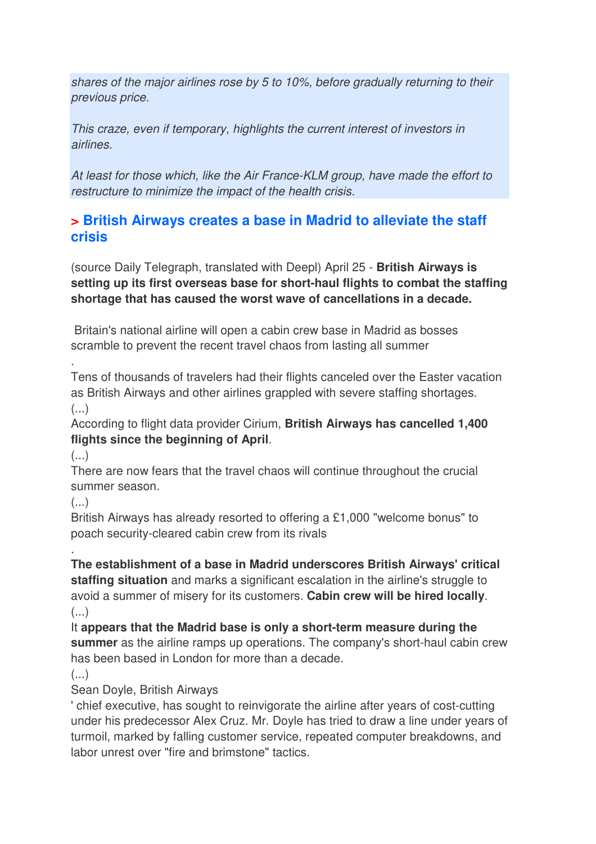shares of the major airlines rose by 5 to 10%, before gradually returning to their previous price.

This craze, even if temporary, highlights the current interest of investors in airlines.

At least for those which, like the Air France-KLM group, have made the effort to restructure to minimize the impact of the health crisis.

## **> British Airways creates a base in Madrid to alleviate the staff crisis**

(source Daily Telegraph, translated with Deepl) April 25 - **British Airways is setting up its first overseas base for short-haul flights to combat the staffing shortage that has caused the worst wave of cancellations in a decade.** 

 Britain's national airline will open a cabin crew base in Madrid as bosses scramble to prevent the recent travel chaos from lasting all summer

Tens of thousands of travelers had their flights canceled over the Easter vacation as British Airways and other airlines grappled with severe staffing shortages.  $(\ldots)$ 

According to flight data provider Cirium, **British Airways has cancelled 1,400 flights since the beginning of April**.

(...)

.

There are now fears that the travel chaos will continue throughout the crucial summer season.

(...)

British Airways has already resorted to offering a £1,000 "welcome bonus" to poach security-cleared cabin crew from its rivals

. **The establishment of a base in Madrid underscores British Airways' critical staffing situation** and marks a significant escalation in the airline's struggle to avoid a summer of misery for its customers. **Cabin crew will be hired locally**.  $(\ldots)$ 

It **appears that the Madrid base is only a short-term measure during the summer** as the airline ramps up operations. The company's short-haul cabin crew has been based in London for more than a decade.

(...)

Sean Doyle, British Airways

' chief executive, has sought to reinvigorate the airline after years of cost-cutting under his predecessor Alex Cruz. Mr. Doyle has tried to draw a line under years of turmoil, marked by falling customer service, repeated computer breakdowns, and labor unrest over "fire and brimstone" tactics.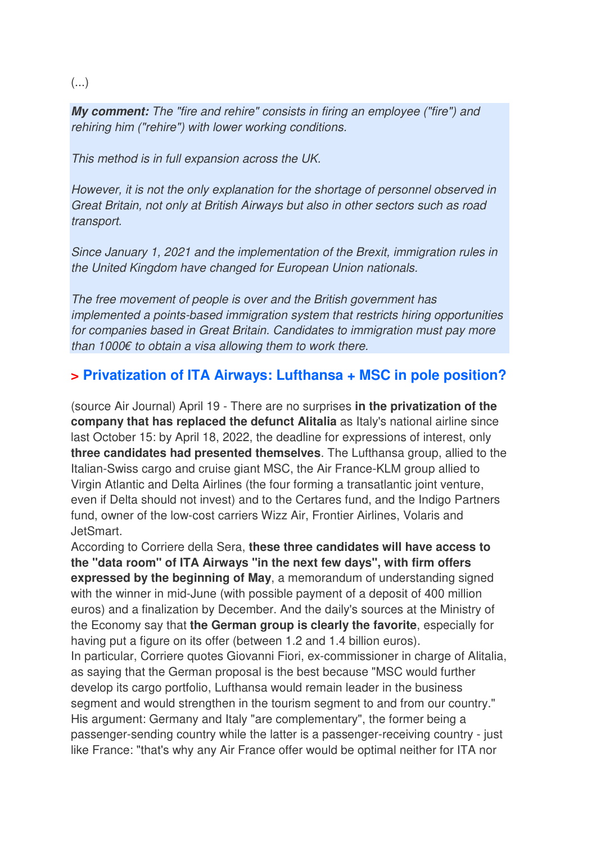#### (...)

**My comment:** The "fire and rehire" consists in firing an employee ("fire") and rehiring him ("rehire") with lower working conditions.

This method is in full expansion across the UK.

However, it is not the only explanation for the shortage of personnel observed in Great Britain, not only at British Airways but also in other sectors such as road transport.

Since January 1, 2021 and the implementation of the Brexit, immigration rules in the United Kingdom have changed for European Union nationals.

The free movement of people is over and the British government has implemented a points-based immigration system that restricts hiring opportunities for companies based in Great Britain. Candidates to immigration must pay more than 1000€ to obtain a visa allowing them to work there.

## **> Privatization of ITA Airways: Lufthansa + MSC in pole position?**

(source Air Journal) April 19 - There are no surprises **in the privatization of the company that has replaced the defunct Alitalia** as Italy's national airline since last October 15: by April 18, 2022, the deadline for expressions of interest, only **three candidates had presented themselves**. The Lufthansa group, allied to the Italian-Swiss cargo and cruise giant MSC, the Air France-KLM group allied to Virgin Atlantic and Delta Airlines (the four forming a transatlantic joint venture, even if Delta should not invest) and to the Certares fund, and the Indigo Partners fund, owner of the low-cost carriers Wizz Air, Frontier Airlines, Volaris and JetSmart.

According to Corriere della Sera, **these three candidates will have access to the "data room" of ITA Airways "in the next few days", with firm offers expressed by the beginning of May**, a memorandum of understanding signed with the winner in mid-June (with possible payment of a deposit of 400 million euros) and a finalization by December. And the daily's sources at the Ministry of the Economy say that **the German group is clearly the favorite**, especially for having put a figure on its offer (between 1.2 and 1.4 billion euros). In particular, Corriere quotes Giovanni Fiori, ex-commissioner in charge of Alitalia, as saying that the German proposal is the best because "MSC would further develop its cargo portfolio, Lufthansa would remain leader in the business segment and would strengthen in the tourism segment to and from our country."

His argument: Germany and Italy "are complementary", the former being a passenger-sending country while the latter is a passenger-receiving country - just like France: "that's why any Air France offer would be optimal neither for ITA nor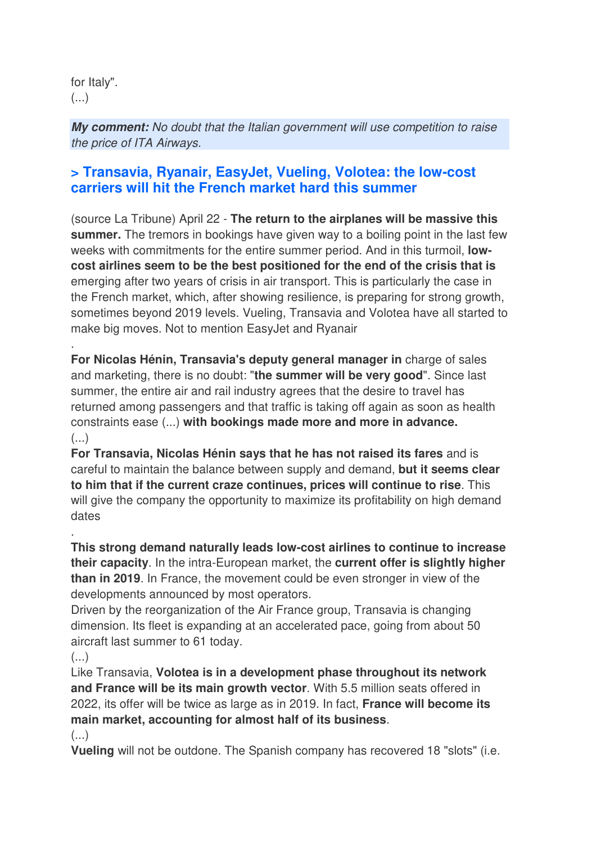for Italy".  $($ ...)

**My comment:** No doubt that the Italian government will use competition to raise the price of ITA Airways.

## **> Transavia, Ryanair, EasyJet, Vueling, Volotea: the low-cost carriers will hit the French market hard this summer**

(source La Tribune) April 22 - **The return to the airplanes will be massive this summer.** The tremors in bookings have given way to a boiling point in the last few weeks with commitments for the entire summer period. And in this turmoil, **lowcost airlines seem to be the best positioned for the end of the crisis that is**  emerging after two years of crisis in air transport. This is particularly the case in the French market, which, after showing resilience, is preparing for strong growth, sometimes beyond 2019 levels. Vueling, Transavia and Volotea have all started to make big moves. Not to mention EasyJet and Ryanair

**For Nicolas Hénin, Transavia's deputy general manager in** charge of sales and marketing, there is no doubt: "**the summer will be very good**". Since last summer, the entire air and rail industry agrees that the desire to travel has returned among passengers and that traffic is taking off again as soon as health constraints ease (...) **with bookings made more and more in advance.**  (...)

**For Transavia, Nicolas Hénin says that he has not raised its fares** and is careful to maintain the balance between supply and demand, **but it seems clear to him that if the current craze continues, prices will continue to rise**. This will give the company the opportunity to maximize its profitability on high demand dates

**This strong demand naturally leads low-cost airlines to continue to increase their capacity**. In the intra-European market, the **current offer is slightly higher than in 2019**. In France, the movement could be even stronger in view of the developments announced by most operators.

Driven by the reorganization of the Air France group, Transavia is changing dimension. Its fleet is expanding at an accelerated pace, going from about 50 aircraft last summer to 61 today.

(...)

.

.

Like Transavia, **Volotea is in a development phase throughout its network and France will be its main growth vector**. With 5.5 million seats offered in 2022, its offer will be twice as large as in 2019. In fact, **France will become its main market, accounting for almost half of its business**.  $(\ldots)$ 

**Vueling** will not be outdone. The Spanish company has recovered 18 "slots" (i.e.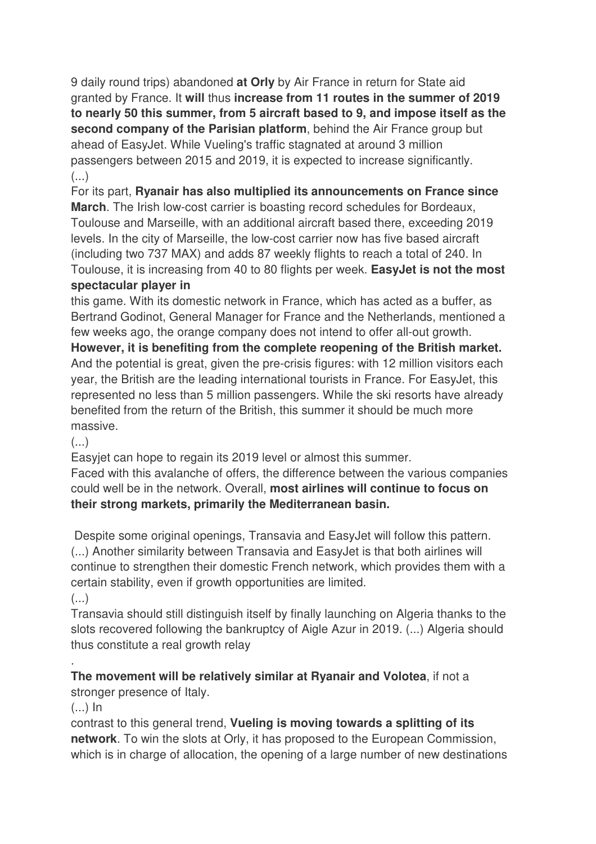9 daily round trips) abandoned **at Orly** by Air France in return for State aid granted by France. It **will** thus **increase from 11 routes in the summer of 2019 to nearly 50 this summer, from 5 aircraft based to 9, and impose itself as the second company of the Parisian platform**, behind the Air France group but ahead of EasyJet. While Vueling's traffic stagnated at around 3 million passengers between 2015 and 2019, it is expected to increase significantly.  $\left( \ldots \right)$ 

For its part, **Ryanair has also multiplied its announcements on France since March**. The Irish low-cost carrier is boasting record schedules for Bordeaux, Toulouse and Marseille, with an additional aircraft based there, exceeding 2019 levels. In the city of Marseille, the low-cost carrier now has five based aircraft (including two 737 MAX) and adds 87 weekly flights to reach a total of 240. In Toulouse, it is increasing from 40 to 80 flights per week. **EasyJet is not the most spectacular player in** 

this game. With its domestic network in France, which has acted as a buffer, as Bertrand Godinot, General Manager for France and the Netherlands, mentioned a few weeks ago, the orange company does not intend to offer all-out growth.

**However, it is benefiting from the complete reopening of the British market.** And the potential is great, given the pre-crisis figures: with 12 million visitors each year, the British are the leading international tourists in France. For EasyJet, this represented no less than 5 million passengers. While the ski resorts have already benefited from the return of the British, this summer it should be much more massive.

#### $\left( \ldots \right)$

Easyjet can hope to regain its 2019 level or almost this summer.

Faced with this avalanche of offers, the difference between the various companies could well be in the network. Overall, **most airlines will continue to focus on their strong markets, primarily the Mediterranean basin.** 

 Despite some original openings, Transavia and EasyJet will follow this pattern. (...) Another similarity between Transavia and EasyJet is that both airlines will continue to strengthen their domestic French network, which provides them with a certain stability, even if growth opportunities are limited.  $\left( \ldots \right)$ 

Transavia should still distinguish itself by finally launching on Algeria thanks to the slots recovered following the bankruptcy of Aigle Azur in 2019. (...) Algeria should thus constitute a real growth relay

#### **The movement will be relatively similar at Ryanair and Volotea**, if not a

stronger presence of Italy.

 $(...)$  In

.

contrast to this general trend, **Vueling is moving towards a splitting of its network**. To win the slots at Orly, it has proposed to the European Commission, which is in charge of allocation, the opening of a large number of new destinations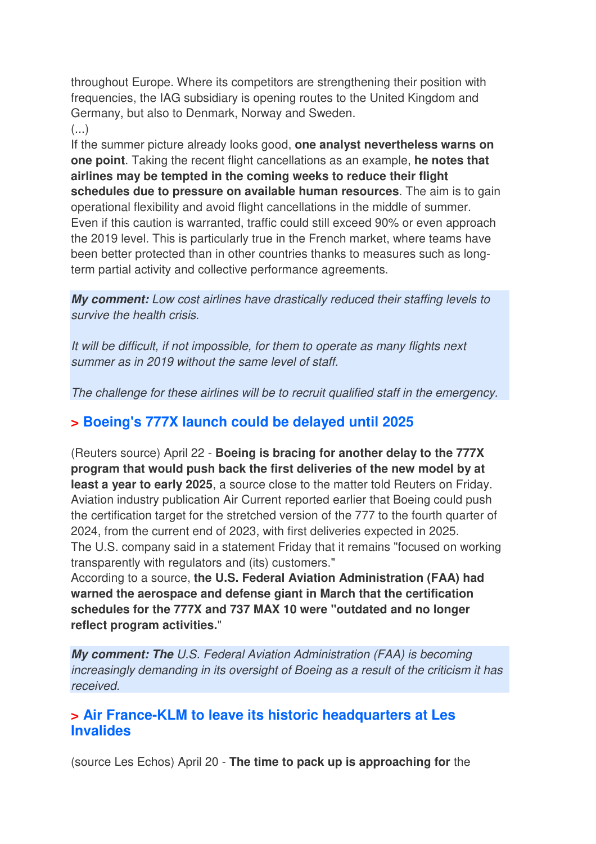throughout Europe. Where its competitors are strengthening their position with frequencies, the IAG subsidiary is opening routes to the United Kingdom and Germany, but also to Denmark, Norway and Sweden.

 $(\ldots)$ 

If the summer picture already looks good, **one analyst nevertheless warns on one point**. Taking the recent flight cancellations as an example, **he notes that airlines may be tempted in the coming weeks to reduce their flight schedules due to pressure on available human resources**. The aim is to gain operational flexibility and avoid flight cancellations in the middle of summer. Even if this caution is warranted, traffic could still exceed 90% or even approach the 2019 level. This is particularly true in the French market, where teams have been better protected than in other countries thanks to measures such as longterm partial activity and collective performance agreements.

**My comment:** Low cost airlines have drastically reduced their staffing levels to survive the health crisis.

It will be difficult, if not impossible, for them to operate as many flights next summer as in 2019 without the same level of staff.

The challenge for these airlines will be to recruit qualified staff in the emergency.

## **> Boeing's 777X launch could be delayed until 2025**

(Reuters source) April 22 - **Boeing is bracing for another delay to the 777X program that would push back the first deliveries of the new model by at least a year to early 2025**, a source close to the matter told Reuters on Friday. Aviation industry publication Air Current reported earlier that Boeing could push the certification target for the stretched version of the 777 to the fourth quarter of 2024, from the current end of 2023, with first deliveries expected in 2025. The U.S. company said in a statement Friday that it remains "focused on working transparently with regulators and (its) customers."

According to a source, **the U.S. Federal Aviation Administration (FAA) had warned the aerospace and defense giant in March that the certification schedules for the 777X and 737 MAX 10 were "outdated and no longer reflect program activities.**"

**My comment: The** U.S. Federal Aviation Administration (FAA) is becoming increasingly demanding in its oversight of Boeing as a result of the criticism it has received.

## **> Air France-KLM to leave its historic headquarters at Les Invalides**

(source Les Echos) April 20 - **The time to pack up is approaching for** the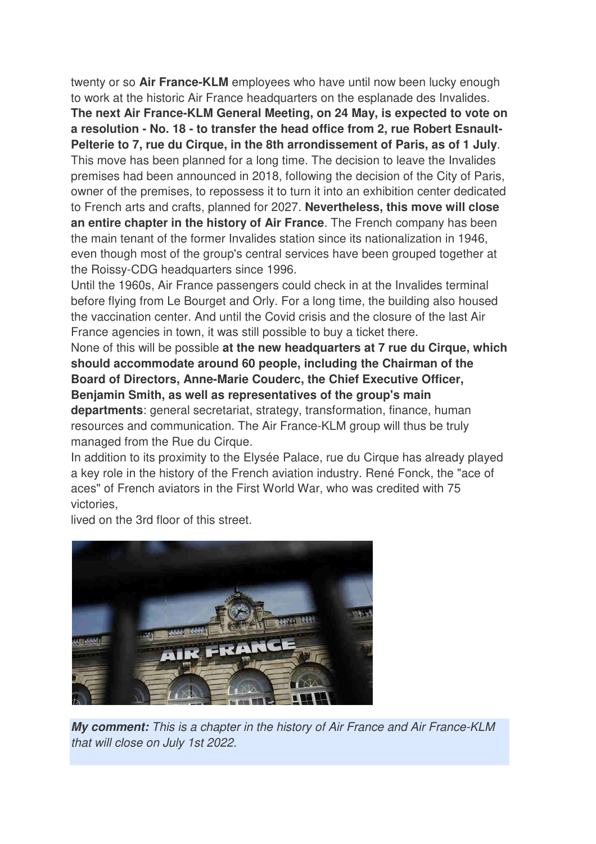twenty or so **Air France-KLM** employees who have until now been lucky enough to work at the historic Air France headquarters on the esplanade des Invalides.

**The next Air France-KLM General Meeting, on 24 May, is expected to vote on a resolution - No. 18 - to transfer the head office from 2, rue Robert Esnault-Pelterie to 7, rue du Cirque, in the 8th arrondissement of Paris, as of 1 July**. This move has been planned for a long time. The decision to leave the Invalides premises had been announced in 2018, following the decision of the City of Paris, owner of the premises, to repossess it to turn it into an exhibition center dedicated to French arts and crafts, planned for 2027. **Nevertheless, this move will close an entire chapter in the history of Air France**. The French company has been the main tenant of the former Invalides station since its nationalization in 1946, even though most of the group's central services have been grouped together at the Roissy-CDG headquarters since 1996.

Until the 1960s, Air France passengers could check in at the Invalides terminal before flying from Le Bourget and Orly. For a long time, the building also housed the vaccination center. And until the Covid crisis and the closure of the last Air France agencies in town, it was still possible to buy a ticket there.

None of this will be possible **at the new headquarters at 7 rue du Cirque, which should accommodate around 60 people, including the Chairman of the Board of Directors, Anne-Marie Couderc, the Chief Executive Officer, Benjamin Smith, as well as representatives of the group's main departments**: general secretariat, strategy, transformation, finance, human resources and communication. The Air France-KLM group will thus be truly managed from the Rue du Cirque.

In addition to its proximity to the Elysée Palace, rue du Cirque has already played a key role in the history of the French aviation industry. René Fonck, the "ace of aces" of French aviators in the First World War, who was credited with 75 victories,

lived on the 3rd floor of this street.



**My comment:** This is a chapter in the history of Air France and Air France-KLM that will close on July 1st 2022.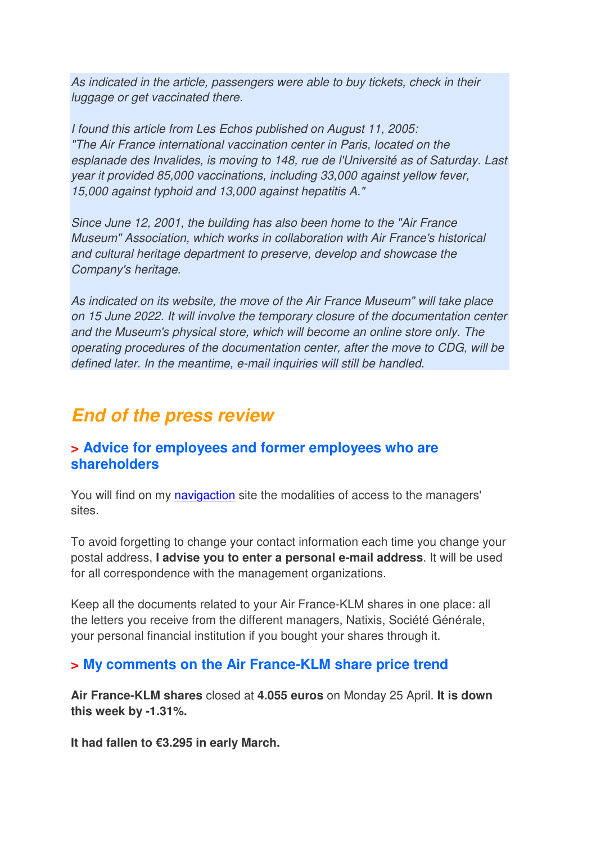As indicated in the article, passengers were able to buy tickets, check in their luggage or get vaccinated there.

I found this article from Les Echos published on August 11, 2005: "The Air France international vaccination center in Paris, located on the esplanade des Invalides, is moving to 148, rue de l'Université as of Saturday. Last year it provided 85,000 vaccinations, including 33,000 against yellow fever, 15,000 against typhoid and 13,000 against hepatitis A."

Since June 12, 2001, the building has also been home to the "Air France Museum" Association, which works in collaboration with Air France's historical and cultural heritage department to preserve, develop and showcase the Company's heritage.

As indicated on its website, the move of the Air France Museum" will take place on 15 June 2022. It will involve the temporary closure of the documentation center and the Museum's physical store, which will become an online store only. The operating procedures of the documentation center, after the move to CDG, will be defined later. In the meantime, e-mail inquiries will still be handled.

## **End of the press review**

#### **> Advice for employees and former employees who are shareholders**

You will find on my navigaction site the modalities of access to the managers' sites.

To avoid forgetting to change your contact information each time you change your postal address, **I advise you to enter a personal e-mail address**. It will be used for all correspondence with the management organizations.

Keep all the documents related to your Air France-KLM shares in one place: all the letters you receive from the different managers, Natixis, Société Générale, your personal financial institution if you bought your shares through it.

## **> My comments on the Air France-KLM share price trend**

**Air France-KLM shares** closed at **4.055 euros** on Monday 25 April. **It is down this week by -1.31%.** 

**It had fallen to €3.295 in early March.**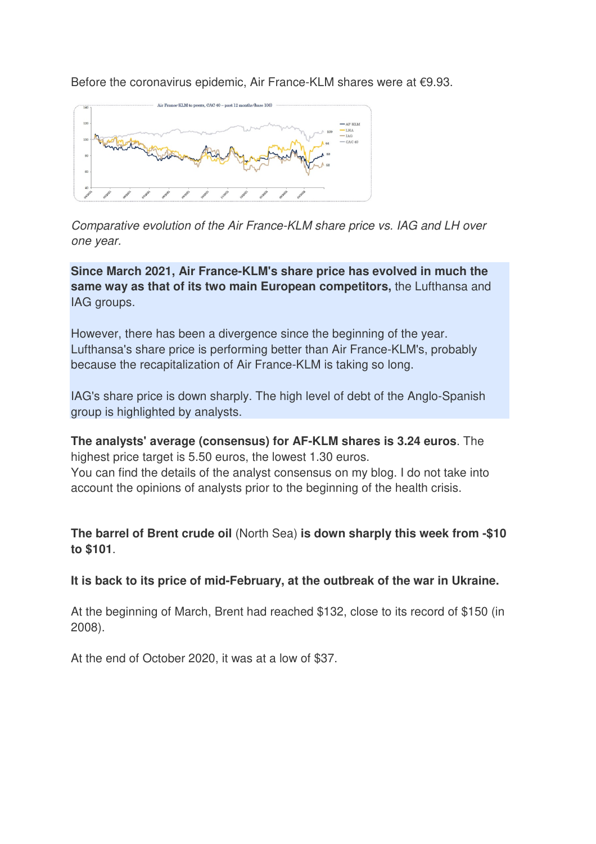Before the coronavirus epidemic, Air France-KLM shares were at €9.93.



Comparative evolution of the Air France-KLM share price vs. IAG and LH over one year.

**Since March 2021, Air France-KLM's share price has evolved in much the same way as that of its two main European competitors,** the Lufthansa and IAG groups.

However, there has been a divergence since the beginning of the year. Lufthansa's share price is performing better than Air France-KLM's, probably because the recapitalization of Air France-KLM is taking so long.

IAG's share price is down sharply. The high level of debt of the Anglo-Spanish group is highlighted by analysts.

**The analysts' average (consensus) for AF-KLM shares is 3.24 euros**. The highest price target is 5.50 euros, the lowest 1.30 euros. You can find the details of the analyst consensus on my blog. I do not take into account the opinions of analysts prior to the beginning of the health crisis.

**The barrel of Brent crude oil** (North Sea) **is down sharply this week from -\$10 to \$101**.

**It is back to its price of mid-February, at the outbreak of the war in Ukraine.**

At the beginning of March, Brent had reached \$132, close to its record of \$150 (in 2008).

At the end of October 2020, it was at a low of \$37.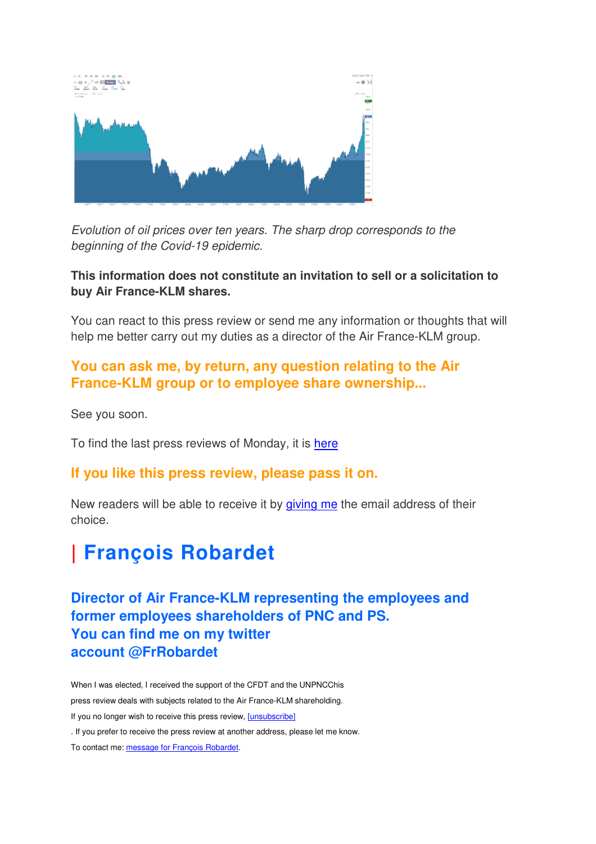

Evolution of oil prices over ten years. The sharp drop corresponds to the beginning of the Covid-19 epidemic.

#### **This information does not constitute an invitation to sell or a solicitation to buy Air France-KLM shares.**

You can react to this press review or send me any information or thoughts that will help me better carry out my duties as a director of the Air France-KLM group.

## **You can ask me, by return, any question relating to the Air France-KLM group or to employee share ownership...**

See you soon.

To find the last press reviews of Monday, it is here

#### **If you like this press review, please pass it on.**

New readers will be able to receive it by giving me the email address of their choice.

# **| François Robardet**

**Director of Air France-KLM representing the employees and former employees shareholders of PNC and PS. You can find me on my twitter account @FrRobardet** 

When I was elected, I received the support of the CFDT and the UNPNCChis press review deals with subjects related to the Air France-KLM shareholding. If you no longer wish to receive this press review, [unsubscribe] . If you prefer to receive the press review at another address, please let me know. To contact me: message for François Robardet.